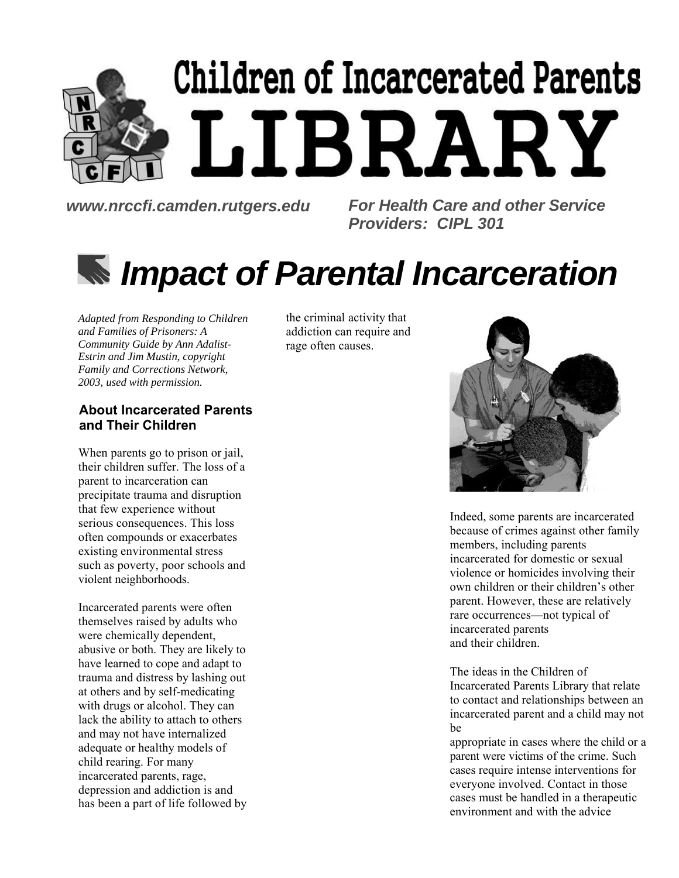# **Children of Incarcerated Parents** LIBRARY

*www.nrccfi.camden.rutgers.edu For Health Care and other Service Providers: CIPL 301*

## *Impact of Parental Incarceration*

*Adapted from Responding to Children and Families of Prisoners: A Community Guide by Ann Adalist-Estrin and Jim Mustin, copyright Family and Corrections Network, 2003, used with permission.*

#### **About Incarcerated Parents and Their Children**

When parents go to prison or jail, their children suffer. The loss of a parent to incarceration can precipitate trauma and disruption that few experience without serious consequences. This loss often compounds or exacerbates existing environmental stress such as poverty, poor schools and violent neighborhoods.

Incarcerated parents were often themselves raised by adults who were chemically dependent, abusive or both. They are likely to have learned to cope and adapt to trauma and distress by lashing out at others and by self-medicating with drugs or alcohol. They can lack the ability to attach to others and may not have internalized adequate or healthy models of child rearing. For many incarcerated parents, rage, depression and addiction is and has been a part of life followed by the criminal activity that addiction can require and rage often causes.



Indeed, some parents are incarcerated because of crimes against other family members, including parents incarcerated for domestic or sexual violence or homicides involving their own children or their children's other parent. However, these are relatively rare occurrences—not typical of incarcerated parents and their children.

The ideas in the Children of Incarcerated Parents Library that relate to contact and relationships between an incarcerated parent and a child may not be

appropriate in cases where the child or a parent were victims of the crime. Such cases require intense interventions for everyone involved. Contact in those cases must be handled in a therapeutic environment and with the advice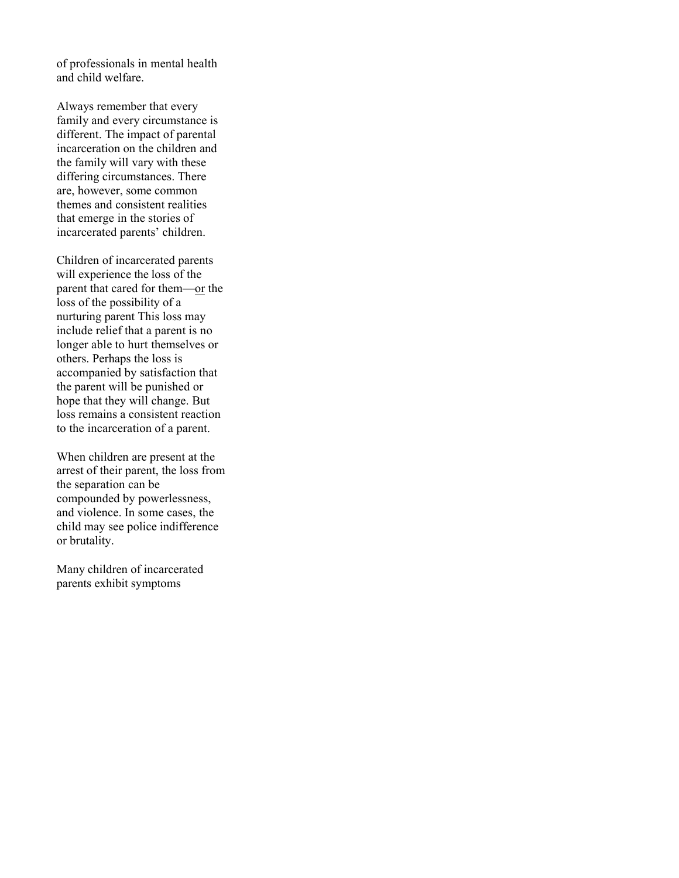of professionals in mental health and child welfare.

Always remember that every family and every circumstance is different. The impact of parental incarceration on the children and the family will vary with these differing circumstances. There are, however, some common themes and consistent realities that emerge in the stories of incarcerated parents' children.

Children of incarcerated parents will experience the loss of the parent that cared for them—or the loss of the possibility of a nurturing parent This loss may include relief that a parent is no longer able to hurt themselves or others. Perhaps the loss is accompanied by satisfaction that the parent will be punished or hope that they will change. But loss remains a consistent reaction to the incarceration of a parent.

When children are present at the arrest of their parent, the loss from the separation can be compounded by powerlessness, and violence. In some cases, the child may see police indifference or brutality.

Many children of incarcerated parents exhibit symptoms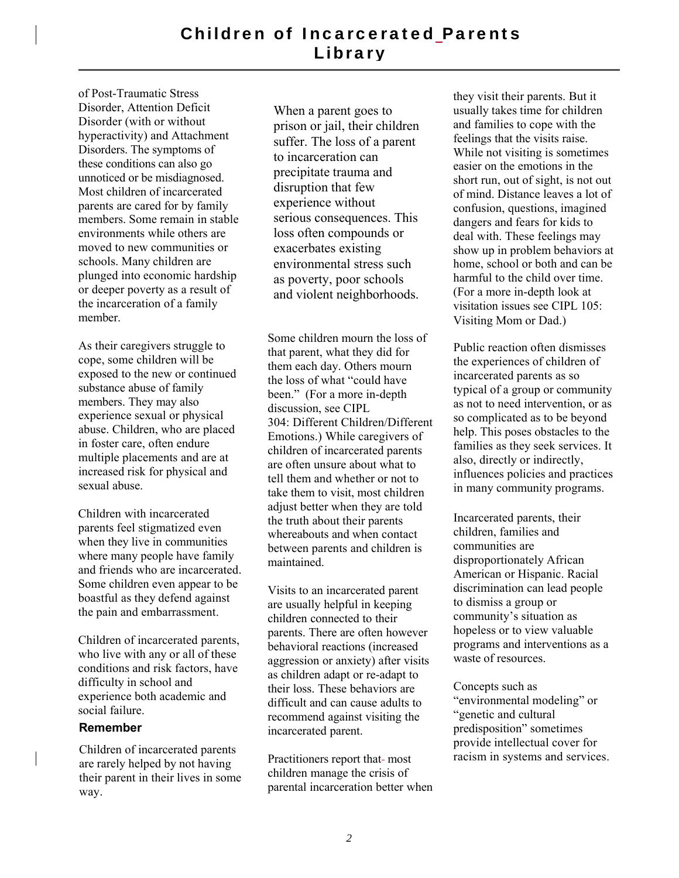of Post-Traumatic Stress Disorder, Attention Deficit Disorder (with or without hyperactivity) and Attachment Disorders. The symptoms of these conditions can also go unnoticed or be misdiagnosed. Most children of incarcerated parents are cared for by family members. Some remain in stable environments while others are moved to new communities or schools. Many children are plunged into economic hardship or deeper poverty as a result of the incarceration of a family member.

As their caregivers struggle to cope, some children will be exposed to the new or continued substance abuse of family members. They may also experience sexual or physical abuse. Children, who are placed in foster care, often endure multiple placements and are at increased risk for physical and sexual abuse.

Children with incarcerated parents feel stigmatized even when they live in communities where many people have family and friends who are incarcerated. Some children even appear to be boastful as they defend against the pain and embarrassment.

Children of incarcerated parents, who live with any or all of these conditions and risk factors, have difficulty in school and experience both academic and social failure.

#### **Remember**

Children of incarcerated parents are rarely helped by not having their parent in their lives in some way.

When a parent goes to prison or jail, their children suffer. The loss of a parent to incarceration can precipitate trauma and disruption that few experience without serious consequences. This loss often compounds or exacerbates existing environmental stress such as poverty, poor schools and violent neighborhoods.

Some children mourn the loss of that parent, what they did for them each day. Others mourn the loss of what "could have been." (For a more in-depth discussion, see CIPL 304: Different Children/Different Emotions.) While caregivers of children of incarcerated parents are often unsure about what to tell them and whether or not to take them to visit, most children adjust better when they are told the truth about their parents whereabouts and when contact between parents and children is maintained.

Visits to an incarcerated parent are usually helpful in keeping children connected to their parents. There are often however behavioral reactions (increased aggression or anxiety) after visits as children adapt or re-adapt to their loss. These behaviors are difficult and can cause adults to recommend against visiting the incarcerated parent.

Practitioners report that-most children manage the crisis of parental incarceration better when they visit their parents. But it usually takes time for children and families to cope with the feelings that the visits raise. While not visiting is sometimes easier on the emotions in the short run, out of sight, is not out of mind. Distance leaves a lot of confusion, questions, imagined dangers and fears for kids to deal with. These feelings may show up in problem behaviors at home, school or both and can be harmful to the child over time. (For a more in-depth look at visitation issues see CIPL 105: Visiting Mom or Dad.)

Public reaction often dismisses the experiences of children of incarcerated parents as so typical of a group or community as not to need intervention, or as so complicated as to be beyond help. This poses obstacles to the families as they seek services. It also, directly or indirectly, influences policies and practices in many community programs.

Incarcerated parents, their children, families and communities are disproportionately African American or Hispanic. Racial discrimination can lead people to dismiss a group or community's situation as hopeless or to view valuable programs and interventions as a waste of resources.

Concepts such as "environmental modeling" or "genetic and cultural predisposition" sometimes provide intellectual cover for racism in systems and services.